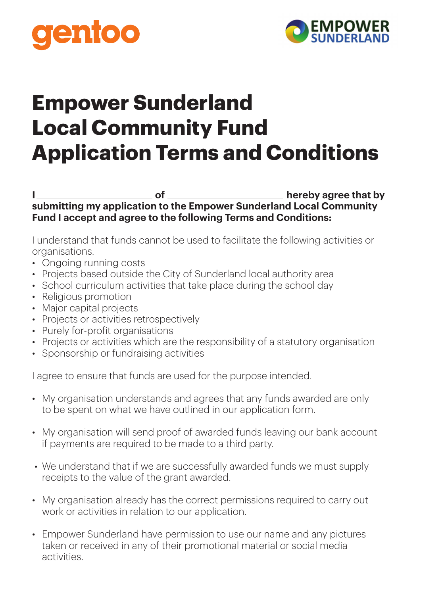



## **Empower Sunderland Local Community Fund Application Terms and Conditions**

**I** hereby agree that by **submitting my application to the Empower Sunderland Local Community Fund I accept and agree to the following Terms and Conditions:**

I understand that funds cannot be used to facilitate the following activities or organisations.

- Ongoing running costs
- Projects based outside the City of Sunderland local authority area
- School curriculum activities that take place during the school day
- Religious promotion
- Major capital projects
- Projects or activities retrospectively
- Purely for-profit organisations
- Projects or activities which are the responsibility of a statutory organisation
- Sponsorship or fundraising activities

I agree to ensure that funds are used for the purpose intended.

- My organisation understands and agrees that any funds awarded are only to be spent on what we have outlined in our application form.
- My organisation will send proof of awarded funds leaving our bank account if payments are required to be made to a third party.
- We understand that if we are successfully awarded funds we must supply receipts to the value of the grant awarded.
- My organisation already has the correct permissions required to carry out work or activities in relation to our application.
- Empower Sunderland have permission to use our name and any pictures taken or received in any of their promotional material or social media activities.